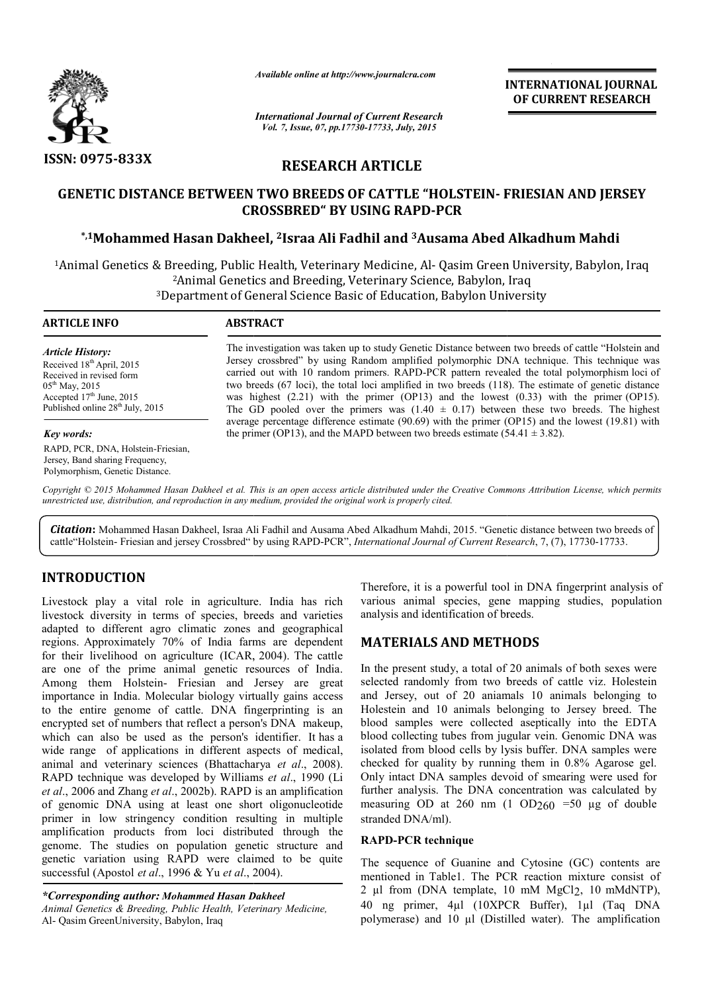

*Available online at http://www.journalcra.com*

*International Journal of Current Research Vol. 7, Issue, 07, pp.17730-17733, July, 2015*

**INTERNATIONAL INTERNATIONAL JOURNAL OF CURRENT RESEARCH** 

# **RESEARCH ARTICLE**

# **GENETIC DISTANCE BETWEEN EN TWO BREEDS OF CATTLE "HOLSTEIN- F FRIESIAN AND JERSEY CROSS ROSSBRED" BY USING RAPD-PCR**

## **\*,1Mohammed Hasan Dakhee heel, 2Israa Ali Fadhil and 3Ausama Abed Alkadhum Mahdi**

<sup>1</sup>Animal Genetics & Breeding, Public Health, Veterinary Medicine, Al- Qasim Green University, Babylon, Iraq <sup>2</sup>Animal Genetics and Breeding, Veterinary Science, Babylon, Iraq <sup>3</sup>Department of General Science Basic of Education, Babylon University

| <b>ARTICLE INFO</b>                                                                                                                                                                                      | <b>ABSTRACT</b>                                                                                                                                                                                                                                                                                                                                                                                                                                                                                                                                                                                            |
|----------------------------------------------------------------------------------------------------------------------------------------------------------------------------------------------------------|------------------------------------------------------------------------------------------------------------------------------------------------------------------------------------------------------------------------------------------------------------------------------------------------------------------------------------------------------------------------------------------------------------------------------------------------------------------------------------------------------------------------------------------------------------------------------------------------------------|
| <b>Article History:</b><br>Received 18 <sup>th</sup> April, 2015<br>Received in revised form<br>$05^{\text{th}}$ May, 2015<br>Accepted $17th$ June, 2015<br>Published online 28 <sup>th</sup> July, 2015 | The investigation was taken up to study Genetic Distance between two breeds of cattle "Holstein and<br>Jersey crossbred" by using Random amplified polymorphic DNA technique. This technique was<br>carried out with 10 random primers. RAPD-PCR pattern revealed the total polymorphism loci of<br>two breeds (67 loci), the total loci amplified in two breeds (118). The estimate of genetic distance<br>was highest $(2.21)$ with the primer $(OP13)$ and the lowest $(0.33)$ with the primer $(OP15)$ .<br>The GD pooled over the primers was $(1.40 \pm 0.17)$ between these two breeds. The highest |
| Key words:                                                                                                                                                                                               | average percentage difference estimate (90.69) with the primer (OP15) and the lowest (19.81) with<br>the primer (OP13), and the MAPD between two breeds estimate $(54.41 \pm 3.82)$ .                                                                                                                                                                                                                                                                                                                                                                                                                      |
| RAPD, PCR, DNA, Holstein-Friesian,<br>Jersey, Band sharing Frequency,<br>Polymorphism, Genetic Distance.                                                                                                 |                                                                                                                                                                                                                                                                                                                                                                                                                                                                                                                                                                                                            |

Copyright © 2015 Mohammed Hasan Dakheel et al. This is an open access article distributed under the Creative Commons Attribution License, which permits *unrestricted use, distribution, and reproduction in any medium, provided the original work is properly cited.*

Citation: Mohammed Hasan Dakheel, Israa Ali Fadhil and Ausama Abed Alkadhum Mahdi, 2015. "Genetic distance between two breeds of cattle"Holstein- Friesian and jersey Crossbred" by using RAPD-PCR", *International Journal of Current Research* , 7, (7), 17730-17733.

# **INTRODUCTION**

Livestock play a vital role in agriculture. India has rich livestock diversity in terms of species, breeds and varieties adapted to different agro climatic zones and geographical regions. Approximately 70% of India farms are dependent for their livelihood on agriculture (ICAR, 2004). The cattle are one of the prime animal genetic resources of India. Among them Holstein- Friesian and Jersey are great importance in India. Molecular biology virtually gains access to the entire genome of cattle. DNA fingerprinting is an encrypted set of numbers that reflect a person's DNA makeup, which can also be used as the person's identifier. It has a wide range of applications in different aspects of medical, animal and veterinary sciences (Bhattacharya et al., 2008). RAPD technique was developed by Williams et al., 1990 (Li *et al*., 2006 and Zhang *et al*., 2002b). RAPD is an amplification of genomic DNA using at least one short oligonucleotide primer in low stringency condition resulting in multiple amplification products from loci distributed through the genome. The studies on population genetic structure and genetic variation using RAPD were claimed to be quite successful (Apostol *et al*., 1996 & Yu *et al*., 2004 2004).

*\*Corresponding author: Mohammed Hasan D Dakheel Animal Genetics & Breeding, Public Health, Vete eterinary Medicine,* Al- Qasim GreenUniversity, Babylon, Iraq

Therefore, it is a powerful tool in DNA fingerprint analysis of various animal species, gene mapping studies, population analysis and identification of br breeds.

## **MATERIALS AND METHODS METHODS**

In the present study, a total of 20 animals of both sexes were selected randomly from two b breeds of cattle viz. Holestein and Jersey, out of 20 aniamals 10 animals belonging to Holestein and 10 animals belonging to Jersey breed. The blood samples were collected d aseptically into the EDTA blood collecting tubes from jugular vein. Genomic DNA was isolated from blood cells by lysis buffer. DNA samples were checked for quality by running them in  $0.8\%$  Agarose gel. Only intact DNA samples devoid of smearing were used for further analysis. The DNA concentration was calculated by measuring OD at  $260 \text{ nm}$  (1 OD $260 = 50 \text{ µg}$  of double stranded DNA/ml).

### **RAPD-PCR technique**

The sequence of Guanine and Cytosine (GC) contents are mentioned in Table1. The PCR reaction mixture consist of 2 µl from (DNA template, 10 10 mM MgCl2, 10 mMdNTP), 40 ng primer, 4µl (10XPCR Buffer), 1µl (Taq DNA polymerase) and 10 µl (Distilled water). The amplification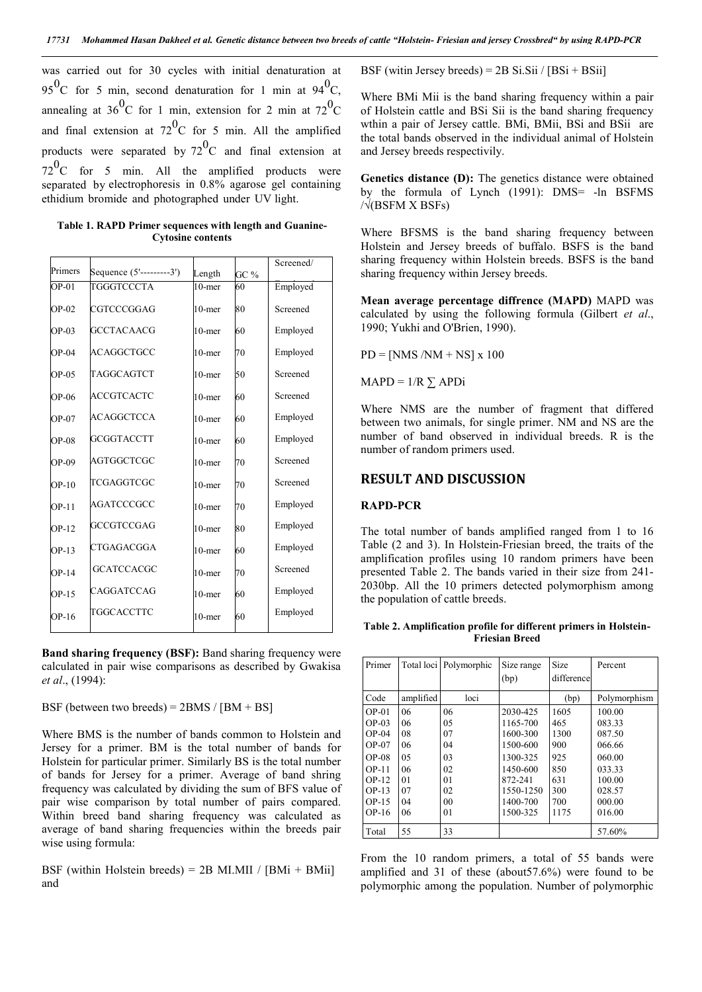was carried out for 30 cycles with initial denaturation at 95<sup>0</sup>C for 5 min, second denaturation for 1 min at 94<sup>0</sup>C, annealing at  $36^{\circ}$ C for 1 min, extension for 2 min at  $72^{\circ}$ C and final extension at  $72^{\circ}$ C for 5 min. All the amplified products were separated by  $72^0C$  and final extension at  $72^{\circ}$ C for 5 min. All the amplified products were separated by electrophoresis in 0.8% agarose gel containing ethidium bromide and photographed under UV light.

**Table 1. RAPD Primer sequences with length and Guanine-Cytosine contents**

| Primers |                          |           |      | Screened/ |
|---------|--------------------------|-----------|------|-----------|
|         | Sequence (5'---------3') | Length    | GC % |           |
| $OP-01$ | TGGGTCCCTA               | $10$ -mer | 60   | Employed  |
| $OP-02$ | CGTCCCGGAG               | $10$ -mer | 80   | Screened  |
| $OP-03$ | <b>GCCTACAACG</b>        | $10$ -mer | 60   | Employed  |
| $OP-04$ | ACAGGCTGCC               | $10$ -mer | 70   | Employed  |
| $OP-05$ | TAGGCAGTCT               | $10$ -mer | 50   | Screened  |
| $OP-06$ | <b>ACCGTCACTC</b>        | $10$ -mer | 60   | Screened  |
| $OP-07$ | <b>ACAGGCTCCA</b>        | $10$ -mer | 60   | Employed  |
| $OP-08$ | <b>GCGGTACCTT</b>        | $10$ -mer | 60   | Employed  |
| $OP-09$ | AGTGGCTCGC               | $10$ -mer | 70   | Screened  |
| $OP-10$ | TCGAGGTCGC               | $10$ -mer | 70   | Screened  |
| $OP-11$ | AGATCCCGCC               | $10$ -mer | 70   | Employed  |
| $OP-12$ | <b>GCCGTCCGAG</b>        | $10$ -mer | 80   | Employed  |
| $OP-13$ | CTGAGACGGA               | $10$ -mer | 60   | Employed  |
| $OP-14$ | <b>GCATCCACGC</b>        | $10$ -mer | 70   | Screened  |
| $OP-15$ | CAGGATCCAG               | $10$ -mer | 60   | Employed  |
| $OP-16$ | TGGCACCTTC               | $10$ -mer | 60   | Employed  |
|         |                          |           |      |           |

**Band sharing frequency (BSF):** Band sharing frequency were calculated in pair wise comparisons as described by Gwakisa *et al*., (1994):

BSF (between two breeds) =  $2BMS / [BM + BS]$ 

Where BMS is the number of bands common to Holstein and Jersey for a primer. BM is the total number of bands for Holstein for particular primer. Similarly BS is the total number of bands for Jersey for a primer. Average of band shring frequency was calculated by dividing the sum of BFS value of pair wise comparison by total number of pairs compared. Within breed band sharing frequency was calculated as average of band sharing frequencies within the breeds pair wise using formula:

BSF (within Holstein breeds) = 2B MI.MII / [BMi + BMii] and

BSF (witin Jersey breeds) =  $2B$  Si.Sii / [BSi + BSii]

Where BMi Mii is the band sharing frequency within a pair of Holstein cattle and BSi Sii is the band sharing frequency wthin a pair of Jersey cattle. BMi, BMii, BSi and BSii are the total bands observed in the individual animal of Holstein and Jersey breeds respectivily.

**Genetics distance (D):** The genetics distance were obtained by the formula of Lynch (1991): DMS= -ln BSFMS /√(BSFM X BSFs)

Where BFSMS is the band sharing frequency between Holstein and Jersey breeds of buffalo. BSFS is the band sharing frequency within Holstein breeds. BSFS is the band sharing frequency within Jersey breeds.

**Mean average percentage diffrence (MAPD)** MAPD was calculated by using the following formula (Gilbert *et al*., 1990; Yukhi and O'Brien, 1990).

 $PD = [NMS/NM + NS] \times 100$ 

 $MAPD = 1/R \sum APDi$ 

Where NMS are the number of fragment that differed between two animals, for single primer. NM and NS are the number of band observed in individual breeds. R is the number of random primers used.

#### **RESULT AND DISCUSSION**

#### **RAPD-PCR**

The total number of bands amplified ranged from 1 to 16 Table (2 and 3). In Holstein-Friesian breed, the traits of the amplification profiles using 10 random primers have been presented Table 2. The bands varied in their size from 241- 2030bp. All the 10 primers detected polymorphism among the population of cattle breeds.

**Table 2. Amplification profile for different primers in Holstein-Friesian Breed**

| Primer                                                                               | Total loci                                    | Polymorphic                                  | Size range<br>(bp)                                                                           | Size<br>difference                                     | Percent                                                                      |
|--------------------------------------------------------------------------------------|-----------------------------------------------|----------------------------------------------|----------------------------------------------------------------------------------------------|--------------------------------------------------------|------------------------------------------------------------------------------|
| Code                                                                                 | amplified                                     | loci                                         |                                                                                              | (bp)                                                   | Polymorphism                                                                 |
| $OP-01$<br>$OP-03$<br>$OP-04$<br>$OP-07$<br>$OP-08$<br>$OP-11$<br>$OP-12$<br>$OP-13$ | 06<br>06<br>08<br>06<br>0.5<br>06<br>01<br>07 | 06<br>05<br>07<br>04<br>03<br>02<br>01<br>02 | 2030-425<br>1165-700<br>1600-300<br>1500-600<br>1300-325<br>1450-600<br>872-241<br>1550-1250 | 1605<br>465<br>1300<br>900<br>925<br>850<br>631<br>300 | 100.00<br>083.33<br>087.50<br>066.66<br>060.00<br>033.33<br>100.00<br>028.57 |
| $OP-15$<br>$OP-16$<br>Total                                                          | 04<br>06<br>55                                | 0 <sub>0</sub><br>01<br>33                   | 1400-700<br>1500-325                                                                         | 700<br>1175                                            | 000.00<br>016.00<br>57.60%                                                   |

From the 10 random primers, a total of 55 bands were amplified and 31 of these (about57.6%) were found to be polymorphic among the population. Number of polymorphic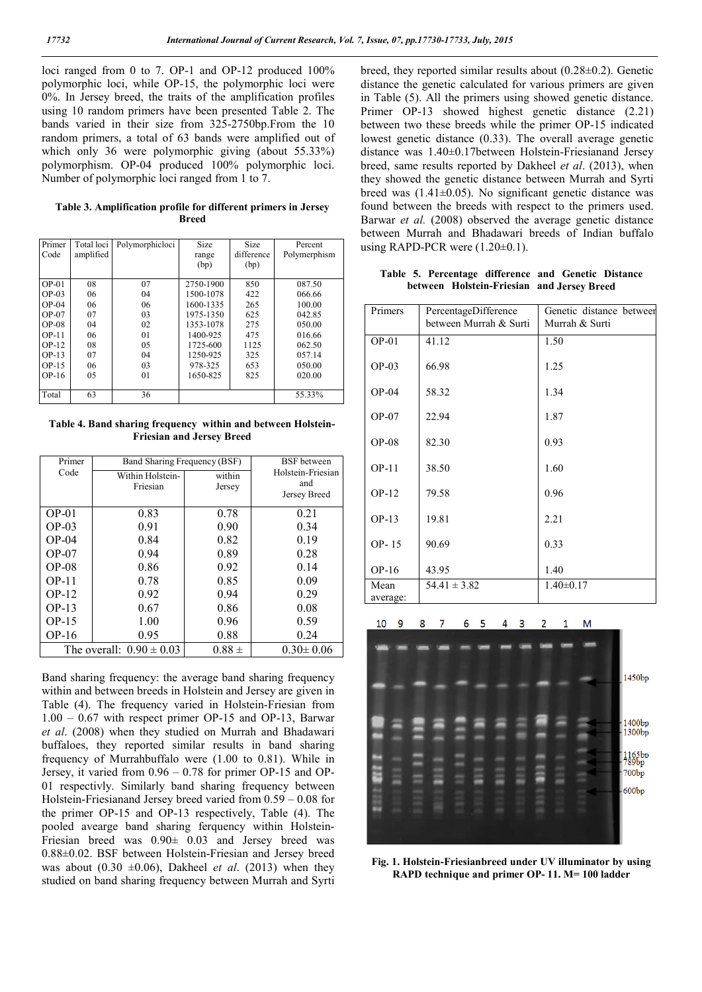loci ranged from 0 to 7. OP-1 and OP-12 produced 100% polymorphic loci, while OP-15, the polymorphic loci were 0%. In Jersey breed, the traits of the amplification profiles using 10 random primers have been presented Table 2. The bands varied in their size from 325-2750bp.From the 10 random primers, a total of 63 bands were amplified out of which only 36 were polymorphic giving (about 55.33%) polymorphism. OP-04 produced 100% polymorphic loci. Number of polymorphic loci ranged from 1 to 7.

| Table 3. Amplification profile for different primers in Jersey |       |  |  |
|----------------------------------------------------------------|-------|--|--|
|                                                                | Breed |  |  |

| Primer  | Total loci | Polymorphicloci | Size      | Size       | Percent      |
|---------|------------|-----------------|-----------|------------|--------------|
| Code    | amplified  |                 | range     | difference | Polymerphism |
|         |            |                 | (bp)      | (bp)       |              |
|         |            |                 |           |            |              |
| $OP-01$ | 08         | 07              | 2750-1900 | 850        | 087.50       |
| $OP-03$ | 06         | 04              | 1500-1078 | 422        | 066.66       |
| $OP-04$ | 06         | 06              | 1600-1335 | 265        | 100.00       |
| $OP-07$ | 07         | 03              | 1975-1350 | 625        | 042.85       |
| $OP-08$ | 04         | 02              | 1353-1078 | 275        | 050.00       |
| $OP-11$ | 06         | 01              | 1400-925  | 475        | 016.66       |
| $OP-12$ | 08         | 05              | 1725-600  | 1125       | 062.50       |
| $OP-13$ | 07         | 04              | 1250-925  | 325        | 057.14       |
| $OP-15$ | 06         | 03              | 978-325   | 653        | 050.00       |
| $OP-16$ | 05         | 01              | 1650-825  | 825        | 020.00       |
|         |            |                 |           |            |              |
| Total   | 63         | 36              |           |            | 55.33%       |

**Table 4. Band sharing frequency within and between Holstein-Friesian and Jersey Breed**

| Primer  | Band Sharing Frequency (BSF) | <b>BSF</b> between |                     |
|---------|------------------------------|--------------------|---------------------|
| Code    | Within Holstein-             | within             | Holstein-Friesian   |
|         | Friesian                     | Jersey             | and<br>Jersey Breed |
|         |                              |                    |                     |
| $OP-01$ | 0.83                         | 0.78               | 0.21                |
| $OP-03$ | 0.91                         | 0.90               | 0.34                |
| $OP-04$ | 0.84                         | 0.82               | 0.19                |
| $OP-07$ | 0.94                         | 0.89               | 0.28                |
| $OP-08$ | 0.86                         | 0.92               | 0.14                |
| $OP-11$ | 0.78                         | 0.85               | 0.09                |
| $OP-12$ | 0.92                         | 0.94               | 0.29                |
| $OP-13$ | 0.67                         | 0.86               | 0.08                |
| $OP-15$ | 1.00                         | 0.96               | 0.59                |
| $OP-16$ | 0.95                         | 0.88               | 0.24                |
|         | The overall: $0.90 \pm 0.03$ | $0.88 \pm$         | $0.30 \pm 0.06$     |

Band sharing frequency: the average band sharing frequency within and between breeds in Holstein and Jersey are given in Table (4). The frequency varied in Holstein-Friesian from 1.00 – 0.67 with respect primer OP-15 and OP-13, Barwar *et al*. (2008) when they studied on Murrah and Bhadawari buffaloes, they reported similar results in band sharing frequency of Murrahbuffalo were (1.00 to 0.81). While in Jersey, it varied from 0.96 – 0.78 for primer OP-15 and OP-01 respectivly. Similarly band sharing frequency between Holstein-Friesianand Jersey breed varied from 0.59 – 0.08 for the primer OP-15 and OP-13 respectively, Table (4). The pooled avearge band sharing ferquency within Holstein-Friesian breed was  $0.90 \pm 0.03$  and Jersey breed was 0.88±0.02. BSF between Holstein-Friesian and Jersey breed was about  $(0.30 \pm 0.06)$ , Dakheel *et al.* (2013) when they studied on band sharing frequency between Murrah and Syrti breed, they reported similar results about (0.28±0.2). Genetic distance the genetic calculated for various primers are given in Table (5). All the primers using showed genetic distance. Primer OP-13 showed highest genetic distance (2.21) between two these breeds while the primer OP-15 indicated lowest genetic distance (0.33). The overall average genetic distance was 1.40±0.17between Holstein-Friesianand Jersey breed, same results reported by Dakheel *et al*. (2013), when they showed the genetic distance between Murrah and Syrti breed was  $(1.41\pm0.05)$ . No significant genetic distance was found between the breeds with respect to the primers used. Barwar *et al.* (2008) observed the average genetic distance between Murrah and Bhadawari breeds of Indian buffalo using RAPD-PCR were  $(1.20\pm0.1)$ .

**Table 5. Percentage difference and Genetic Distance between Holstein-Friesian and Jersey Breed**

| Primers          | PercentageDifference<br>between Murrah & Surti | Genetic distance betweer<br>Murrah & Surti |
|------------------|------------------------------------------------|--------------------------------------------|
| $OP-01$          | 41.12                                          | 1.50                                       |
| $OP-03$          | 66.98                                          | 1.25                                       |
| $OP-04$          | 58.32                                          | 1.34                                       |
| $OP-07$          | 22.94                                          | 1.87                                       |
| $OP-08$          | 82.30                                          | 0.93                                       |
| $OP-11$          | 38.50                                          | 1.60                                       |
| $OP-12$          | 79.58                                          | 0.96                                       |
| $OP-13$          | 19.81                                          | 2.21                                       |
| OP-15            | 90.69                                          | 0.33                                       |
| $OP-16$          | 43.95                                          | 1.40                                       |
| Mean<br>average: | $54.41 \pm 3.82$                               | $1.40 \pm 0.17$                            |



**Fig. 1. Holstein-Friesianbreed under UV illuminator by using RAPD technique and primer OP- 11. M= 100 ladder**